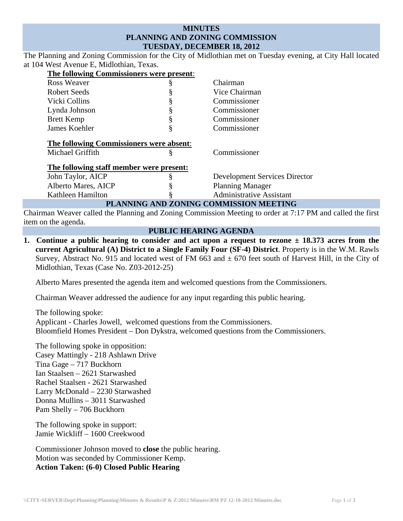# **MINUTES PLANNING AND ZONING COMMISSION TUESDAY, DECEMBER 18, 2012**

The Planning and Zoning Commission for the City of Midlothian met on Tuesday evening, at City Hall located at 104 West Avenue E, Midlothian, Texas.

| The following Commissioners were present: |    |                                      |
|-------------------------------------------|----|--------------------------------------|
| Ross Weaver                               | ş  | Chairman                             |
| Robert Seeds                              |    | Vice Chairman                        |
| Vicki Collins                             | \$ | Commissioner                         |
| Lynda Johnson                             | §  | Commissioner                         |
| <b>Brett Kemp</b>                         | §  | Commissioner                         |
| James Koehler                             | §  | Commissioner                         |
| The following Commissioners were absent:  |    |                                      |
| Michael Griffith                          | §  | Commissioner                         |
| The following staff member were present:  |    |                                      |
| John Taylor, AICP                         | ş  | <b>Development Services Director</b> |
| Alberto Mares, AICP                       |    | <b>Planning Manager</b>              |
| Kathleen Hamilton                         | 9  | <b>Administrative Assistant</b>      |
| PLANNING AND ZONING COMMISSION MEETING    |    |                                      |

Chairman Weaver called the Planning and Zoning Commission Meeting to order at 7:17 PM and called the first item on the agenda.

## **PUBLIC HEARING AGENDA**

**1. Continue a public hearing to consider and act upon a request to rezone ± 18.373 acres from the current Agricultural (A) District to a Single Family Four (SF-4) District**. Property is in the W.M. Rawls Survey, Abstract No. 915 and located west of FM 663 and  $\pm$  670 feet south of Harvest Hill, in the City of Midlothian, Texas (Case No. Z03-2012-25)

Alberto Mares presented the agenda item and welcomed questions from the Commissioners.

Chairman Weaver addressed the audience for any input regarding this public hearing.

The following spoke: Applicant - Charles Jowell, welcomed questions from the Commissioners. Bloomfield Homes President – Don Dykstra, welcomed questions from the Commissioners.

The following spoke in opposition: Casey Mattingly - 218 Ashlawn Drive Tina Gage – 717 Buckhorn Ian Staalsen – 2621 Starwashed Rachel Staalsen - 2621 Starwashed Larry McDonald – 2230 Starwashed Donna Mullins – 3011 Starwashed Pam Shelly – 706 Buckhorn

The following spoke in support: Jamie Wickliff – 1600 Creekwood

Commissioner Johnson moved to **close** the public hearing. Motion was seconded by Commissioner Kemp. **Action Taken: (6-0) Closed Public Hearing**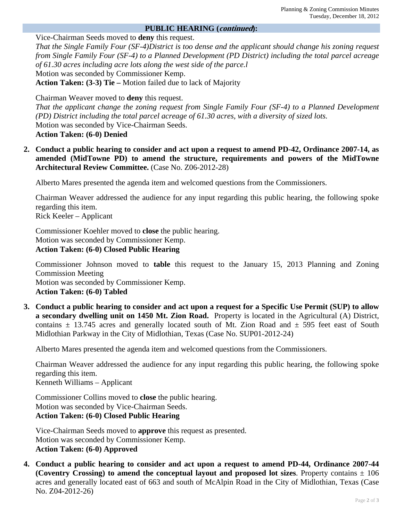## **PUBLIC HEARING (continued):**

Vice-Chairman Seeds moved to **deny** this request.

*That the Single Family Four (SF-4)District is too dense and the applicant should change his zoning request from Single Family Four (SF-4) to a Planned Development (PD District) including the total parcel acreage of 61.30 acres including acre lots along the west side of the parce.l* Motion was seconded by Commissioner Kemp.

**Action Taken: (3-3) Tie –** Motion failed due to lack of Majority

Chairman Weaver moved to **deny** this request.

*That the applicant change the zoning request from Single Family Four (SF-4) to a Planned Development (PD) District including the total parcel acreage of 61.30 acres, with a diversity of sized lots.*  Motion was seconded by Vice-Chairman Seeds. **Action Taken: (6-0) Denied** 

**2. Conduct a public hearing to consider and act upon a request to amend PD-42, Ordinance 2007-14, as amended (MidTowne PD) to amend the structure, requirements and powers of the MidTowne Architectural Review Committee.** (Case No. Z06-2012-28)

Alberto Mares presented the agenda item and welcomed questions from the Commissioners.

Chairman Weaver addressed the audience for any input regarding this public hearing, the following spoke regarding this item.

Rick Keeler – Applicant

Commissioner Koehler moved to **close** the public hearing. Motion was seconded by Commissioner Kemp. **Action Taken: (6-0) Closed Public Hearing**

Commissioner Johnson moved to **table** this request to the January 15, 2013 Planning and Zoning Commission Meeting Motion was seconded by Commissioner Kemp. **Action Taken: (6-0) Tabled** 

**3. Conduct a public hearing to consider and act upon a request for a Specific Use Permit (SUP) to allow a secondary dwelling unit on 1450 Mt. Zion Road.** Property is located in the Agricultural (A) District, contains  $\pm$  13.745 acres and generally located south of Mt. Zion Road and  $\pm$  595 feet east of South Midlothian Parkway in the City of Midlothian, Texas (Case No. SUP01-2012-24)

Alberto Mares presented the agenda item and welcomed questions from the Commissioners.

Chairman Weaver addressed the audience for any input regarding this public hearing, the following spoke regarding this item.

Kenneth Williams – Applicant

Commissioner Collins moved to **close** the public hearing. Motion was seconded by Vice-Chairman Seeds. **Action Taken: (6-0) Closed Public Hearing**

Vice-Chairman Seeds moved to **approve** this request as presented. Motion was seconded by Commissioner Kemp. **Action Taken: (6-0) Approved** 

**4. Conduct a public hearing to consider and act upon a request to amend PD-44, Ordinance 2007-44 (Coventry Crossing) to amend the conceptual layout and proposed lot sizes.** Property contains  $\pm$  106 acres and generally located east of 663 and south of McAlpin Road in the City of Midlothian, Texas (Case No. Z04-2012-26)